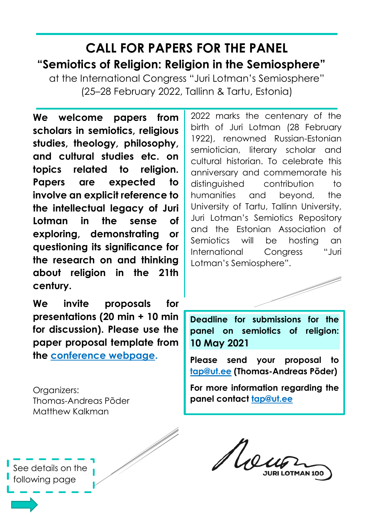## **CALL FOR PAPERS FOR THE PANEL "Semiotics of Religion: Religion in the Semiosphere"**

at the International Congress "Juri Lotman's Semiosphere" (25–28 February 2022, Tallinn & Tartu, Estonia)

**We welcome papers from scholars in semiotics, religious studies, theology, philosophy, and cultural studies etc. on topics related to religion. Papers are expected to involve an explicit reference to the intellectual legacy of Juri Lotman in the sense of exploring, demonstrating or questioning its significance for the research on and thinking about religion in the 21th century.**

**We invite proposals for presentations (20 min + 10 min for discussion). Please use the paper proposal template from the [conference webpage.](http://jurilotman.ee/call-for-papers/#submit)** 

Organizers: Thomas-Andreas Põder Matthew Kalkman

2022 marks the centenary of the birth of Juri Lotman (28 February 1922), renowned Russian-Estonian semiotician, literary scholar and cultural historian. To celebrate this anniversary and commemorate his distinguished contribution to humanities and beyond, the University of Tartu, Tallinn University, Juri Lotman's Semiotics Repository and the Estonian Association of Semiotics will be hosting an International Congress "Juri Lotman's Semiosphere".



**Deadline for submissions for the panel on semiotics of religion: 10 May 2021**

**Please send your proposal to [tap@ut.ee](mailto:tap@ut.ee) (Thomas-Andreas Põder)**

**For more information regarding the panel contact [tap@ut.ee](mailto:tap@ut.ee)**

Ue

See details on the following page